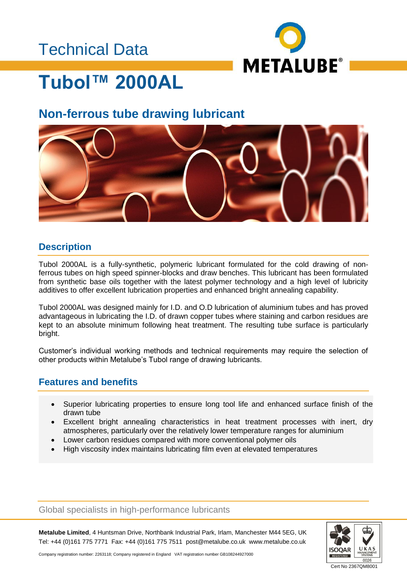### Technical Data



## **Tubol™ 2000AL**

### **Non-ferrous tube drawing lubricant**



#### **Description**

Tubol 2000AL is a fully-synthetic, polymeric lubricant formulated for the cold drawing of nonferrous tubes on high speed spinner-blocks and draw benches. This lubricant has been formulated from synthetic base oils together with the latest polymer technology and a high level of lubricity additives to offer excellent lubrication properties and enhanced bright annealing capability.

Tubol 2000AL was designed mainly for I.D. and O.D lubrication of aluminium tubes and has proved advantageous in lubricating the I.D. of drawn copper tubes where staining and carbon residues are kept to an absolute minimum following heat treatment. The resulting tube surface is particularly bright.

Customer's individual working methods and technical requirements may require the selection of other products within Metalube's Tubol range of drawing lubricants.

#### **Features and benefits**

- Superior lubricating properties to ensure long tool life and enhanced surface finish of the drawn tube
- Excellent bright annealing characteristics in heat treatment processes with inert, dry atmospheres, particularly over the relatively lower temperature ranges for aluminium
- Lower carbon residues compared with more conventional polymer oils
- High viscosity index maintains lubricating film even at elevated temperatures

Global specialists in high-performance lubricants

**Metalube Limited**, 4 Huntsman Drive, Northbank Industrial Park, Irlam, Manchester M44 5EG, UK Tel: +44 (0)161 775 7771 Fax: +44 (0)161 775 7511 post@metalube.co.uk www.metalube.co.uk



Company registration number: 2263118; Company registered in England VAT registration number GB108244927000